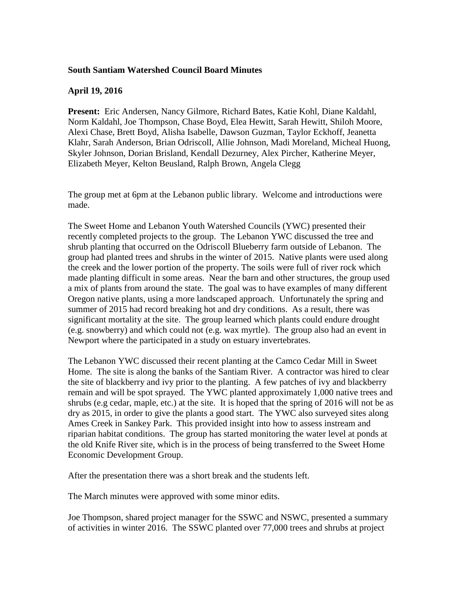## **South Santiam Watershed Council Board Minutes**

## **April 19, 2016**

**Present:** Eric Andersen, Nancy Gilmore, Richard Bates, Katie Kohl, Diane Kaldahl, Norm Kaldahl, Joe Thompson, Chase Boyd, Elea Hewitt, Sarah Hewitt, Shiloh Moore, Alexi Chase, Brett Boyd, Alisha Isabelle, Dawson Guzman, Taylor Eckhoff, Jeanetta Klahr, Sarah Anderson, Brian Odriscoll, Allie Johnson, Madi Moreland, Micheal Huong, Skyler Johnson, Dorian Brisland, Kendall Dezurney, Alex Pircher, Katherine Meyer, Elizabeth Meyer, Kelton Beusland, Ralph Brown, Angela Clegg

The group met at 6pm at the Lebanon public library. Welcome and introductions were made.

The Sweet Home and Lebanon Youth Watershed Councils (YWC) presented their recently completed projects to the group. The Lebanon YWC discussed the tree and shrub planting that occurred on the Odriscoll Blueberry farm outside of Lebanon. The group had planted trees and shrubs in the winter of 2015. Native plants were used along the creek and the lower portion of the property. The soils were full of river rock which made planting difficult in some areas. Near the barn and other structures, the group used a mix of plants from around the state. The goal was to have examples of many different Oregon native plants, using a more landscaped approach. Unfortunately the spring and summer of 2015 had record breaking hot and dry conditions. As a result, there was significant mortality at the site. The group learned which plants could endure drought (e.g. snowberry) and which could not (e.g. wax myrtle). The group also had an event in Newport where the participated in a study on estuary invertebrates.

The Lebanon YWC discussed their recent planting at the Camco Cedar Mill in Sweet Home. The site is along the banks of the Santiam River. A contractor was hired to clear the site of blackberry and ivy prior to the planting. A few patches of ivy and blackberry remain and will be spot sprayed. The YWC planted approximately 1,000 native trees and shrubs (e.g cedar, maple, etc.) at the site. It is hoped that the spring of 2016 will not be as dry as 2015, in order to give the plants a good start. The YWC also surveyed sites along Ames Creek in Sankey Park. This provided insight into how to assess instream and riparian habitat conditions. The group has started monitoring the water level at ponds at the old Knife River site, which is in the process of being transferred to the Sweet Home Economic Development Group.

After the presentation there was a short break and the students left.

The March minutes were approved with some minor edits.

Joe Thompson, shared project manager for the SSWC and NSWC, presented a summary of activities in winter 2016. The SSWC planted over 77,000 trees and shrubs at project